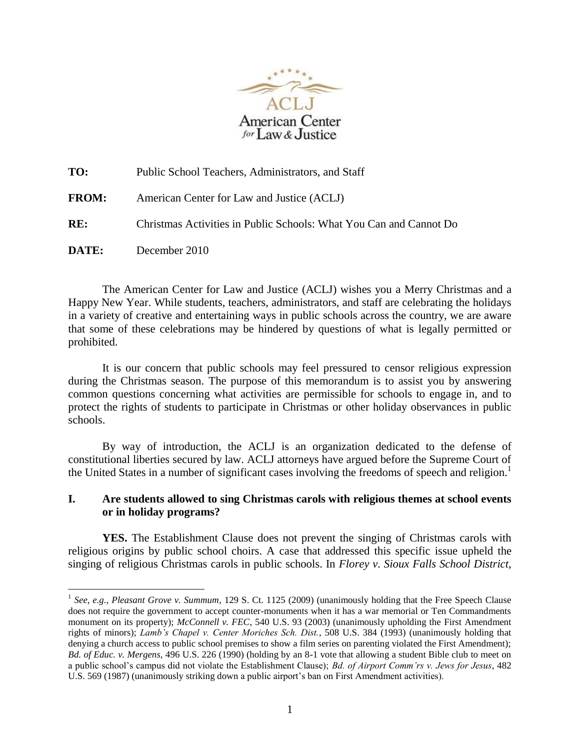

| TO:          | Public School Teachers, Administrators, and Staff                  |
|--------------|--------------------------------------------------------------------|
| <b>FROM:</b> | American Center for Law and Justice (ACLJ)                         |
| RE:          | Christmas Activities in Public Schools: What You Can and Cannot Do |
| DATE:        | December 2010                                                      |

The American Center for Law and Justice (ACLJ) wishes you a Merry Christmas and a Happy New Year. While students, teachers, administrators, and staff are celebrating the holidays in a variety of creative and entertaining ways in public schools across the country, we are aware that some of these celebrations may be hindered by questions of what is legally permitted or prohibited.

It is our concern that public schools may feel pressured to censor religious expression during the Christmas season. The purpose of this memorandum is to assist you by answering common questions concerning what activities are permissible for schools to engage in, and to protect the rights of students to participate in Christmas or other holiday observances in public schools.

By way of introduction, the ACLJ is an organization dedicated to the defense of constitutional liberties secured by law. ACLJ attorneys have argued before the Supreme Court of the United States in a number of significant cases involving the freedoms of speech and religion.<sup>1</sup>

## **I. Are students allowed to sing Christmas carols with religious themes at school events or in holiday programs?**

**YES.** The Establishment Clause does not prevent the singing of Christmas carols with religious origins by public school choirs. A case that addressed this specific issue upheld the singing of religious Christmas carols in public schools. In *Florey v. Sioux Falls School District*,

1

<sup>&</sup>lt;sup>1</sup> See, e.g., Pleasant Grove v. Summum, 129 S. Ct. 1125 (2009) (unanimously holding that the Free Speech Clause does not require the government to accept counter-monuments when it has a war memorial or Ten Commandments monument on its property); *McConnell v. FEC*, 540 U.S. 93 (2003) (unanimously upholding the First Amendment rights of minors); *Lamb's Chapel v. Center Moriches Sch. Dist.*, 508 U.S. 384 (1993) (unanimously holding that denying a church access to public school premises to show a film series on parenting violated the First Amendment); *Bd. of Educ. v. Mergens*, 496 U.S. 226 (1990) (holding by an 8-1 vote that allowing a student Bible club to meet on a public school"s campus did not violate the Establishment Clause); *Bd. of Airport Comm'rs v. Jews for Jesus*, 482 U.S. 569 (1987) (unanimously striking down a public airport"s ban on First Amendment activities).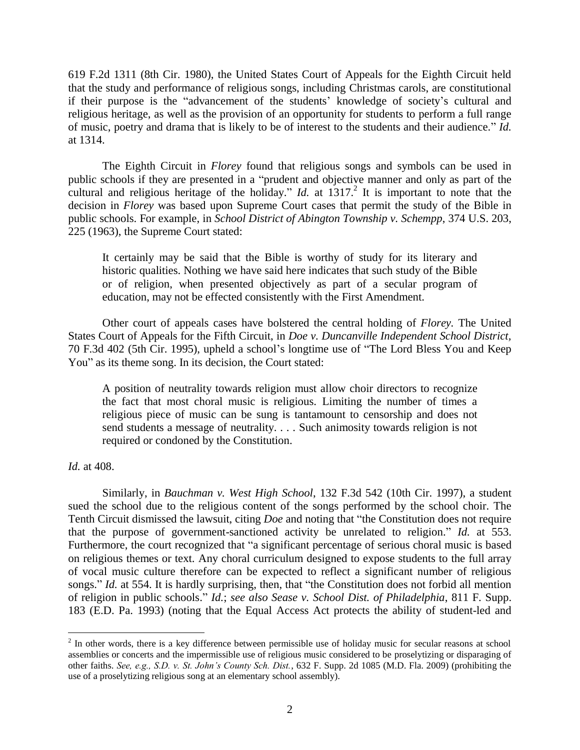619 F.2d 1311 (8th Cir. 1980), the United States Court of Appeals for the Eighth Circuit held that the study and performance of religious songs, including Christmas carols, are constitutional if their purpose is the "advancement of the students' knowledge of society's cultural and religious heritage, as well as the provision of an opportunity for students to perform a full range of music, poetry and drama that is likely to be of interest to the students and their audience." *Id.* at 1314.

The Eighth Circuit in *Florey* found that religious songs and symbols can be used in public schools if they are presented in a "prudent and objective manner and only as part of the cultural and religious heritage of the holiday." *Id.* at  $1317$ .<sup>2</sup> It is important to note that the decision in *Florey* was based upon Supreme Court cases that permit the study of the Bible in public schools. For example, in *School District of Abington Township v. Schempp*, 374 U.S. 203, 225 (1963), the Supreme Court stated:

It certainly may be said that the Bible is worthy of study for its literary and historic qualities. Nothing we have said here indicates that such study of the Bible or of religion, when presented objectively as part of a secular program of education, may not be effected consistently with the First Amendment.

Other court of appeals cases have bolstered the central holding of *Florey.* The United States Court of Appeals for the Fifth Circuit, in *Doe v. Duncanville Independent School District,* 70 F.3d 402 (5th Cir. 1995), upheld a school"s longtime use of "The Lord Bless You and Keep You" as its theme song. In its decision, the Court stated:

A position of neutrality towards religion must allow choir directors to recognize the fact that most choral music is religious. Limiting the number of times a religious piece of music can be sung is tantamount to censorship and does not send students a message of neutrality. . . . Such animosity towards religion is not required or condoned by the Constitution.

#### *Id.* at 408.

<u>.</u>

Similarly, in *Bauchman v. West High School*, 132 F.3d 542 (10th Cir. 1997), a student sued the school due to the religious content of the songs performed by the school choir. The Tenth Circuit dismissed the lawsuit, citing *Doe* and noting that "the Constitution does not require that the purpose of government-sanctioned activity be unrelated to religion." *Id.* at 553. Furthermore, the court recognized that "a significant percentage of serious choral music is based on religious themes or text. Any choral curriculum designed to expose students to the full array of vocal music culture therefore can be expected to reflect a significant number of religious songs." *Id.* at 554. It is hardly surprising, then, that "the Constitution does not forbid all mention of religion in public schools." *Id.*; *see also Sease v. School Dist. of Philadelphia*, 811 F. Supp. 183 (E.D. Pa. 1993) (noting that the Equal Access Act protects the ability of student-led and

 $2<sup>2</sup>$  In other words, there is a key difference between permissible use of holiday music for secular reasons at school assemblies or concerts and the impermissible use of religious music considered to be proselytizing or disparaging of other faiths. *See, e.g., S.D. v. St. John's County Sch. Dist.*, 632 F. Supp. 2d 1085 (M.D. Fla. 2009) (prohibiting the use of a proselytizing religious song at an elementary school assembly).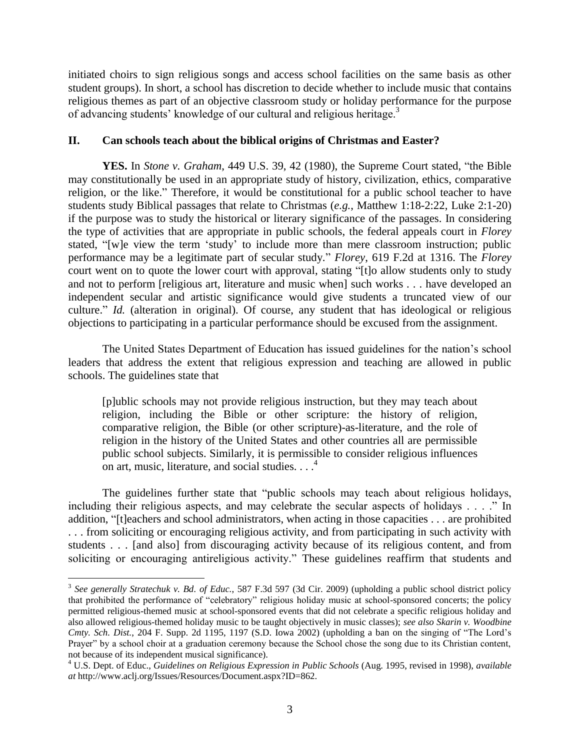initiated choirs to sign religious songs and access school facilities on the same basis as other student groups). In short, a school has discretion to decide whether to include music that contains religious themes as part of an objective classroom study or holiday performance for the purpose of advancing students' knowledge of our cultural and religious heritage.<sup>3</sup>

# **II. Can schools teach about the biblical origins of Christmas and Easter?**

**YES.** In *Stone v. Graham*, 449 U.S. 39, 42 (1980), the Supreme Court stated, "the Bible may constitutionally be used in an appropriate study of history, civilization, ethics, comparative religion, or the like." Therefore, it would be constitutional for a public school teacher to have students study Biblical passages that relate to Christmas (*e.g.*, Matthew 1:18-2:22, Luke 2:1-20) if the purpose was to study the historical or literary significance of the passages. In considering the type of activities that are appropriate in public schools, the federal appeals court in *Florey* stated, "[w]e view the term "study" to include more than mere classroom instruction; public performance may be a legitimate part of secular study." *Florey*, 619 F.2d at 1316. The *Florey* court went on to quote the lower court with approval, stating "[t]o allow students only to study and not to perform [religious art, literature and music when] such works . . . have developed an independent secular and artistic significance would give students a truncated view of our culture." *Id.* (alteration in original). Of course, any student that has ideological or religious objections to participating in a particular performance should be excused from the assignment.

The United States Department of Education has issued guidelines for the nation"s school leaders that address the extent that religious expression and teaching are allowed in public schools. The guidelines state that

[p]ublic schools may not provide religious instruction, but they may teach about religion, including the Bible or other scripture: the history of religion, comparative religion, the Bible (or other scripture)-as-literature, and the role of religion in the history of the United States and other countries all are permissible public school subjects. Similarly, it is permissible to consider religious influences on art, music, literature, and social studies. . . . 4

The guidelines further state that "public schools may teach about religious holidays, including their religious aspects, and may celebrate the secular aspects of holidays . . . ." In addition, "[t]eachers and school administrators, when acting in those capacities . . . are prohibited . . . from soliciting or encouraging religious activity, and from participating in such activity with students . . . [and also] from discouraging activity because of its religious content, and from soliciting or encouraging antireligious activity." These guidelines reaffirm that students and

1

<sup>3</sup> *See generally Stratechuk v. Bd. of Educ.*, 587 F.3d 597 (3d Cir. 2009) (upholding a public school district policy that prohibited the performance of "celebratory" religious holiday music at school-sponsored concerts; the policy permitted religious-themed music at school-sponsored events that did not celebrate a specific religious holiday and also allowed religious-themed holiday music to be taught objectively in music classes); *see also Skarin v. Woodbine Cmty. Sch. Dist.*, 204 F. Supp. 2d 1195, 1197 (S.D. Iowa 2002) (upholding a ban on the singing of "The Lord"s Prayer" by a school choir at a graduation ceremony because the School chose the song due to its Christian content, not because of its independent musical significance).

<sup>4</sup> U.S. Dept. of Educ., *Guidelines on Religious Expression in Public Schools* (Aug. 1995, revised in 1998), *available at* http://www.aclj.org/Issues/Resources/Document.aspx?ID=862.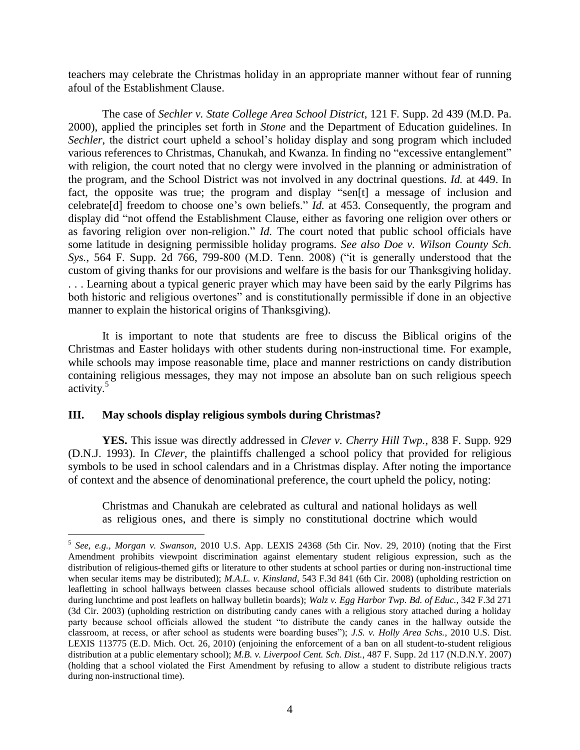teachers may celebrate the Christmas holiday in an appropriate manner without fear of running afoul of the Establishment Clause.

The case of *Sechler v. State College Area School District*, 121 F. Supp. 2d 439 (M.D. Pa. 2000), applied the principles set forth in *Stone* and the Department of Education guidelines. In *Sechler*, the district court upheld a school's holiday display and song program which included various references to Christmas, Chanukah, and Kwanza. In finding no "excessive entanglement" with religion, the court noted that no clergy were involved in the planning or administration of the program, and the School District was not involved in any doctrinal questions. *Id.* at 449. In fact, the opposite was true; the program and display "sen[t] a message of inclusion and celebrate<sup>[d]</sup> freedom to choose one's own beliefs." *Id.* at 453. Consequently, the program and display did "not offend the Establishment Clause, either as favoring one religion over others or as favoring religion over non-religion." *Id.* The court noted that public school officials have some latitude in designing permissible holiday programs. *See also Doe v. Wilson County Sch. Sys.*, 564 F. Supp. 2d 766, 799-800 (M.D. Tenn. 2008) ("it is generally understood that the custom of giving thanks for our provisions and welfare is the basis for our Thanksgiving holiday. . . . Learning about a typical generic prayer which may have been said by the early Pilgrims has both historic and religious overtones" and is constitutionally permissible if done in an objective manner to explain the historical origins of Thanksgiving).

It is important to note that students are free to discuss the Biblical origins of the Christmas and Easter holidays with other students during non-instructional time. For example, while schools may impose reasonable time, place and manner restrictions on candy distribution containing religious messages, they may not impose an absolute ban on such religious speech activity.<sup>5</sup>

## **III. May schools display religious symbols during Christmas?**

1

**YES.** This issue was directly addressed in *Clever v. Cherry Hill Twp.*, 838 F. Supp. 929 (D.N.J. 1993). In *Clever*, the plaintiffs challenged a school policy that provided for religious symbols to be used in school calendars and in a Christmas display. After noting the importance of context and the absence of denominational preference, the court upheld the policy, noting:

Christmas and Chanukah are celebrated as cultural and national holidays as well as religious ones, and there is simply no constitutional doctrine which would

<sup>5</sup> *See, e.g., Morgan v. Swanson*, 2010 U.S. App. LEXIS 24368 (5th Cir. Nov. 29, 2010) (noting that the First Amendment prohibits viewpoint discrimination against elementary student religious expression, such as the distribution of religious-themed gifts or literature to other students at school parties or during non-instructional time when secular items may be distributed); *M.A.L. v. Kinsland*, 543 F.3d 841 (6th Cir. 2008) (upholding restriction on leafletting in school hallways between classes because school officials allowed students to distribute materials during lunchtime and post leaflets on hallway bulletin boards); *Walz v. Egg Harbor Twp. Bd. of Educ.*, 342 F.3d 271 (3d Cir. 2003) (upholding restriction on distributing candy canes with a religious story attached during a holiday party because school officials allowed the student "to distribute the candy canes in the hallway outside the classroom, at recess, or after school as students were boarding buses"); *J.S. v. Holly Area Schs.*, 2010 U.S. Dist. LEXIS 113775 (E.D. Mich. Oct. 26, 2010) (enjoining the enforcement of a ban on all student-to-student religious distribution at a public elementary school); *M.B. v. Liverpool Cent. Sch. Dist.*, 487 F. Supp. 2d 117 (N.D.N.Y. 2007) (holding that a school violated the First Amendment by refusing to allow a student to distribute religious tracts during non-instructional time).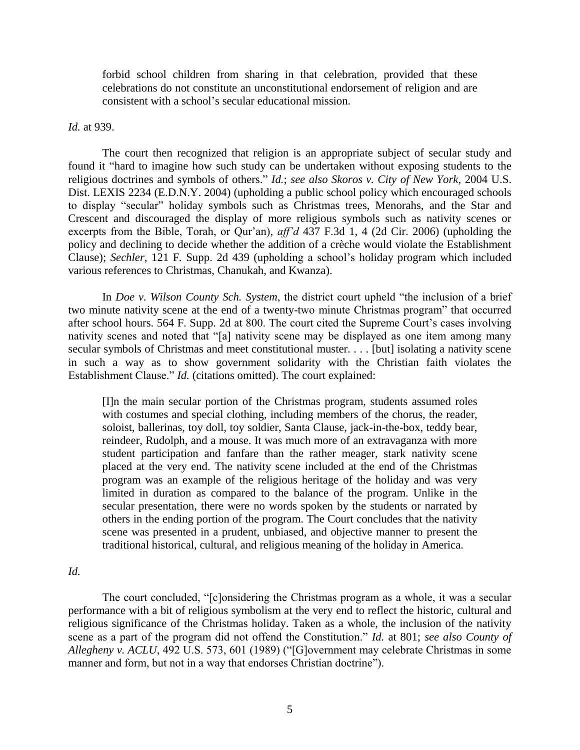forbid school children from sharing in that celebration, provided that these celebrations do not constitute an unconstitutional endorsement of religion and are consistent with a school"s secular educational mission.

#### *Id.* at 939.

The court then recognized that religion is an appropriate subject of secular study and found it "hard to imagine how such study can be undertaken without exposing students to the religious doctrines and symbols of others." *Id.*; *see also Skoros v. City of New York*, 2004 U.S. Dist. LEXIS 2234 (E.D.N.Y. 2004) (upholding a public school policy which encouraged schools to display "secular" holiday symbols such as Christmas trees, Menorahs, and the Star and Crescent and discouraged the display of more religious symbols such as nativity scenes or excerpts from the Bible, Torah, or Qur'an), *aff'd* 437 F.3d 1, 4 (2d Cir. 2006) (upholding the policy and declining to decide whether the addition of a crèche would violate the Establishment Clause); *Sechler,* 121 F. Supp. 2d 439 (upholding a school"s holiday program which included various references to Christmas, Chanukah, and Kwanza).

In *Doe v. Wilson County Sch. System*, the district court upheld "the inclusion of a brief two minute nativity scene at the end of a twenty-two minute Christmas program" that occurred after school hours. 564 F. Supp. 2d at 800. The court cited the Supreme Court's cases involving nativity scenes and noted that "[a] nativity scene may be displayed as one item among many secular symbols of Christmas and meet constitutional muster. . . . [but] isolating a nativity scene in such a way as to show government solidarity with the Christian faith violates the Establishment Clause." *Id.* (citations omitted). The court explained:

[I]n the main secular portion of the Christmas program, students assumed roles with costumes and special clothing, including members of the chorus, the reader, soloist, ballerinas, toy doll, toy soldier, Santa Clause, jack-in-the-box, teddy bear, reindeer, Rudolph, and a mouse. It was much more of an extravaganza with more student participation and fanfare than the rather meager, stark nativity scene placed at the very end. The nativity scene included at the end of the Christmas program was an example of the religious heritage of the holiday and was very limited in duration as compared to the balance of the program. Unlike in the secular presentation, there were no words spoken by the students or narrated by others in the ending portion of the program. The Court concludes that the nativity scene was presented in a prudent, unbiased, and objective manner to present the traditional historical, cultural, and religious meaning of the holiday in America.

*Id.*

The court concluded, "[c]onsidering the Christmas program as a whole, it was a secular performance with a bit of religious symbolism at the very end to reflect the historic, cultural and religious significance of the Christmas holiday. Taken as a whole, the inclusion of the nativity scene as a part of the program did not offend the Constitution." *Id.* at 801; *see also County of Allegheny v. ACLU*, 492 U.S. 573, 601 (1989) ("[G]overnment may celebrate Christmas in some manner and form, but not in a way that endorses Christian doctrine").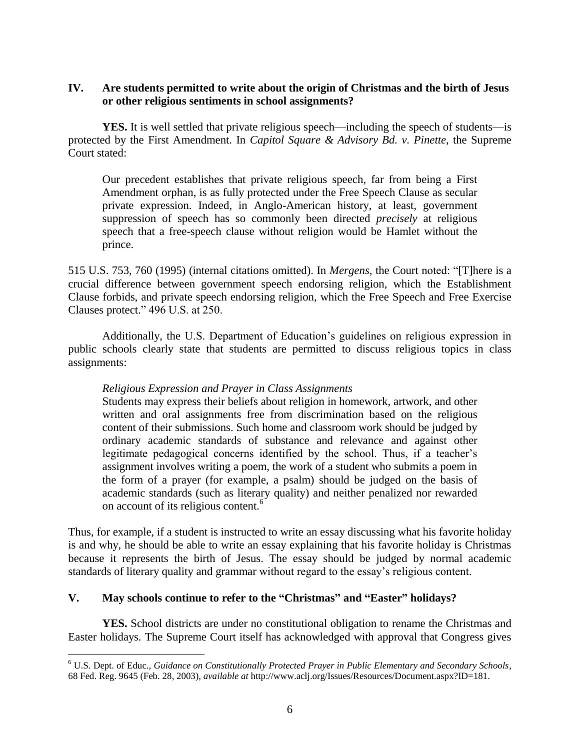# **IV. Are students permitted to write about the origin of Christmas and the birth of Jesus or other religious sentiments in school assignments?**

**YES.** It is well settled that private religious speech—including the speech of students—is protected by the First Amendment. In *Capitol Square & Advisory Bd. v. Pinette*, the Supreme Court stated:

Our precedent establishes that private religious speech, far from being a First Amendment orphan, is as fully protected under the Free Speech Clause as secular private expression. Indeed, in Anglo-American history, at least, government suppression of speech has so commonly been directed *precisely* at religious speech that a free-speech clause without religion would be Hamlet without the prince.

515 U.S. 753, 760 (1995) (internal citations omitted). In *Mergens,* the Court noted: "[T]here is a crucial difference between government speech endorsing religion, which the Establishment Clause forbids, and private speech endorsing religion, which the Free Speech and Free Exercise Clauses protect." 496 U.S. at 250.

Additionally, the U.S. Department of Education"s guidelines on religious expression in public schools clearly state that students are permitted to discuss religious topics in class assignments:

# *Religious Expression and Prayer in Class Assignments*

Students may express their beliefs about religion in homework, artwork, and other written and oral assignments free from discrimination based on the religious content of their submissions. Such home and classroom work should be judged by ordinary academic standards of substance and relevance and against other legitimate pedagogical concerns identified by the school. Thus, if a teacher's assignment involves writing a poem, the work of a student who submits a poem in the form of a prayer (for example, a psalm) should be judged on the basis of academic standards (such as literary quality) and neither penalized nor rewarded on account of its religious content.<sup>6</sup>

Thus, for example, if a student is instructed to write an essay discussing what his favorite holiday is and why, he should be able to write an essay explaining that his favorite holiday is Christmas because it represents the birth of Jesus. The essay should be judged by normal academic standards of literary quality and grammar without regard to the essay"s religious content.

## **V. May schools continue to refer to the "Christmas" and "Easter" holidays?**

1

**YES.** School districts are under no constitutional obligation to rename the Christmas and Easter holidays. The Supreme Court itself has acknowledged with approval that Congress gives

<sup>6</sup> U.S. Dept. of Educ., *Guidance on Constitutionally Protected Prayer in Public Elementary and Secondary Schools*, 68 Fed. Reg. 9645 (Feb. 28, 2003), *available at* http://www.aclj.org/Issues/Resources/Document.aspx?ID=181.